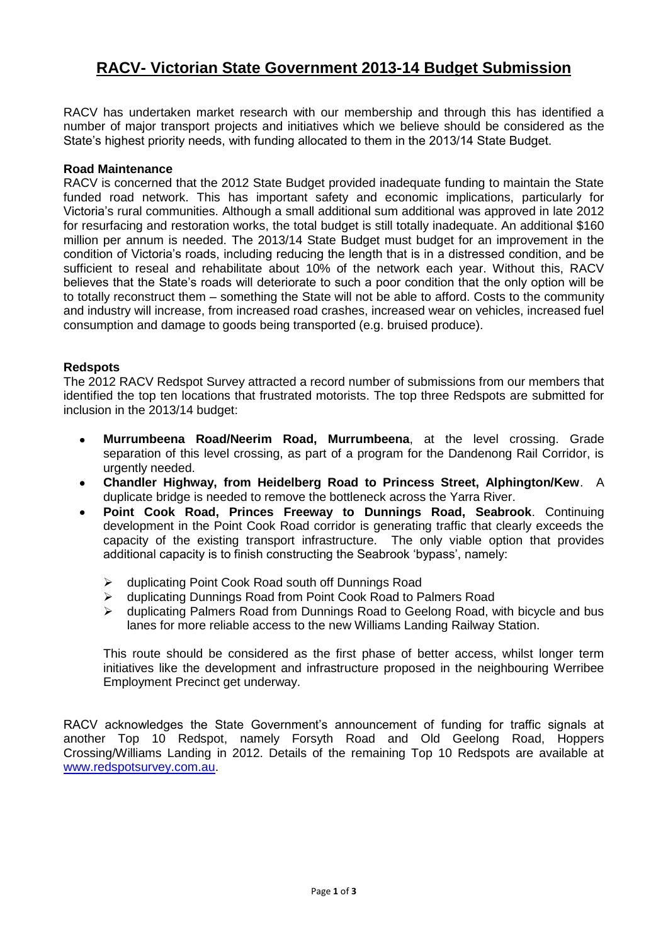# **RACV- Victorian State Government 2013-14 Budget Submission**

RACV has undertaken market research with our membership and through this has identified a number of major transport projects and initiatives which we believe should be considered as the State's highest priority needs, with funding allocated to them in the 2013/14 State Budget.

# **Road Maintenance**

RACV is concerned that the 2012 State Budget provided inadequate funding to maintain the State funded road network. This has important safety and economic implications, particularly for Victoria's rural communities. Although a small additional sum additional was approved in late 2012 for resurfacing and restoration works, the total budget is still totally inadequate. An additional \$160 million per annum is needed. The 2013/14 State Budget must budget for an improvement in the condition of Victoria's roads, including reducing the length that is in a distressed condition, and be sufficient to reseal and rehabilitate about 10% of the network each year. Without this, RACV believes that the State's roads will deteriorate to such a poor condition that the only option will be to totally reconstruct them – something the State will not be able to afford. Costs to the community and industry will increase, from increased road crashes, increased wear on vehicles, increased fuel consumption and damage to goods being transported (e.g. bruised produce).

# **Redspots**

The 2012 RACV Redspot Survey attracted a record number of submissions from our members that identified the top ten locations that frustrated motorists. The top three Redspots are submitted for inclusion in the 2013/14 budget:

- **Murrumbeena Road/Neerim Road, Murrumbeena**, at the level crossing. Grade separation of this level crossing, as part of a program for the Dandenong Rail Corridor, is urgently needed.
- **Chandler Highway, from Heidelberg Road to Princess Street, Alphington/Kew**. A  $\bullet$ duplicate bridge is needed to remove the bottleneck across the Yarra River.
- **Point Cook Road, Princes Freeway to Dunnings Road, Seabrook**. Continuing development in the Point Cook Road corridor is generating traffic that clearly exceeds the capacity of the existing transport infrastructure. The only viable option that provides additional capacity is to finish constructing the Seabrook 'bypass', namely:
	- duplicating Point Cook Road south off Dunnings Road
	- duplicating Dunnings Road from Point Cook Road to Palmers Road
	- $\triangleright$  duplicating Palmers Road from Dunnings Road to Geelong Road, with bicycle and bus lanes for more reliable access to the new Williams Landing Railway Station.

This route should be considered as the first phase of better access, whilst longer term initiatives like the development and infrastructure proposed in the neighbouring Werribee Employment Precinct get underway.

RACV acknowledges the State Government's announcement of funding for traffic signals at another Top 10 Redspot, namely Forsyth Road and Old Geelong Road, Hoppers Crossing/Williams Landing in 2012. Details of the remaining Top 10 Redspots are available at [www.redspotsurvey.com.au.](http://www.redspotsurvey.com.au/)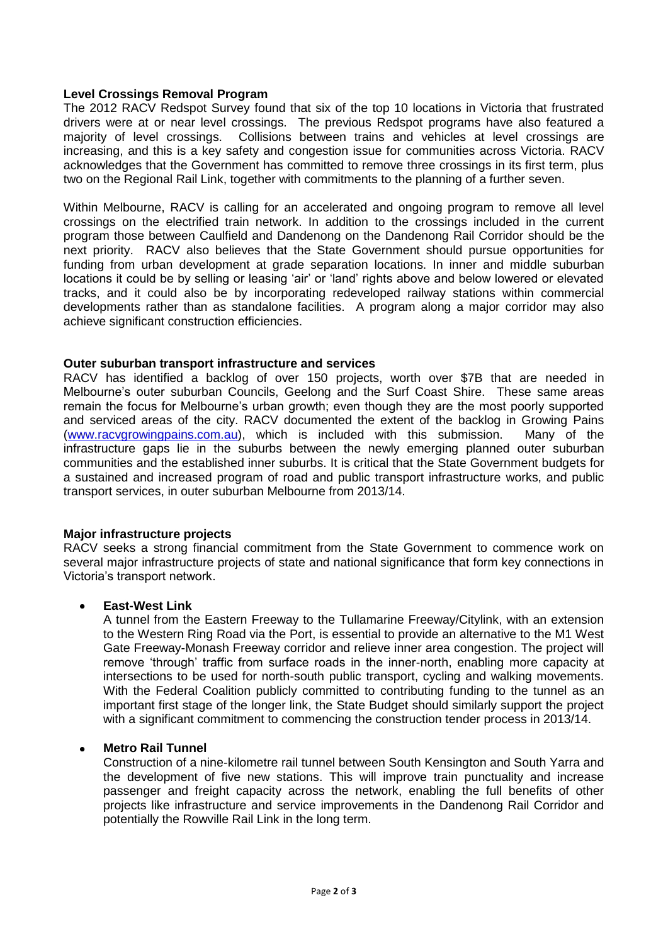# **Level Crossings Removal Program**

The 2012 RACV Redspot Survey found that six of the top 10 locations in Victoria that frustrated drivers were at or near level crossings. The previous Redspot programs have also featured a majority of level crossings. Collisions between trains and vehicles at level crossings are increasing, and this is a key safety and congestion issue for communities across Victoria. RACV acknowledges that the Government has committed to remove three crossings in its first term, plus two on the Regional Rail Link, together with commitments to the planning of a further seven.

Within Melbourne, RACV is calling for an accelerated and ongoing program to remove all level crossings on the electrified train network. In addition to the crossings included in the current program those between Caulfield and Dandenong on the Dandenong Rail Corridor should be the next priority. RACV also believes that the State Government should pursue opportunities for funding from urban development at grade separation locations. In inner and middle suburban locations it could be by selling or leasing 'air' or 'land' rights above and below lowered or elevated tracks, and it could also be by incorporating redeveloped railway stations within commercial developments rather than as standalone facilities. A program along a major corridor may also achieve significant construction efficiencies.

### **Outer suburban transport infrastructure and services**

RACV has identified a backlog of over 150 projects, worth over \$7B that are needed in Melbourne's outer suburban Councils, Geelong and the Surf Coast Shire. These same areas remain the focus for Melbourne's urban growth; even though they are the most poorly supported and serviced areas of the city. RACV documented the extent of the backlog in Growing Pains [\(www.racvgrowingpains.com.au\)](http://www.racvgrowingpains.com.au/), which is included with this submission. Many of the infrastructure gaps lie in the suburbs between the newly emerging planned outer suburban communities and the established inner suburbs. It is critical that the State Government budgets for a sustained and increased program of road and public transport infrastructure works, and public transport services, in outer suburban Melbourne from 2013/14.

### **Major infrastructure projects**

RACV seeks a strong financial commitment from the State Government to commence work on several major infrastructure projects of state and national significance that form key connections in Victoria's transport network.

### **East-West Link**

A tunnel from the Eastern Freeway to the Tullamarine Freeway/Citylink, with an extension to the Western Ring Road via the Port, is essential to provide an alternative to the M1 West Gate Freeway-Monash Freeway corridor and relieve inner area congestion. The project will remove 'through' traffic from surface roads in the inner-north, enabling more capacity at intersections to be used for north-south public transport, cycling and walking movements. With the Federal Coalition publicly committed to contributing funding to the tunnel as an important first stage of the longer link, the State Budget should similarly support the project with a significant commitment to commencing the construction tender process in 2013/14.

### **Metro Rail Tunnel**

Construction of a nine-kilometre rail tunnel between South Kensington and South Yarra and the development of five new stations. This will improve train punctuality and increase passenger and freight capacity across the network, enabling the full benefits of other projects like infrastructure and service improvements in the Dandenong Rail Corridor and potentially the Rowville Rail Link in the long term.